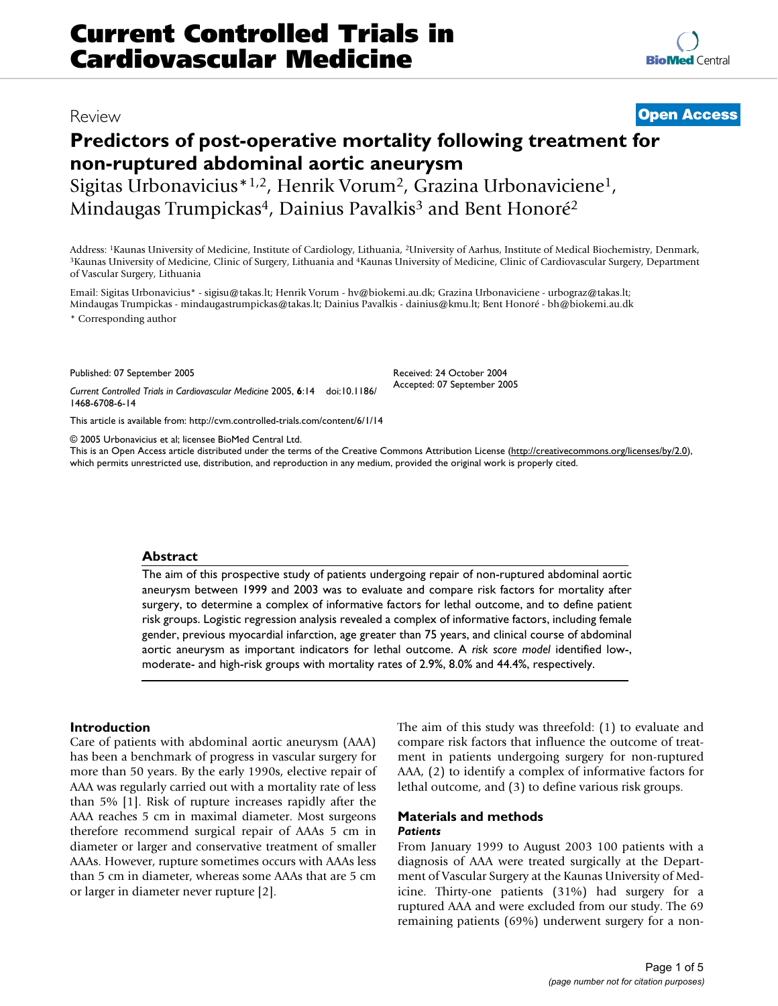## Review **[Open Access](http://www.biomedcentral.com/info/about/charter/)**

# **Predictors of post-operative mortality following treatment for non-ruptured abdominal aortic aneurysm**

Sigitas Urbonavicius\*1,2, Henrik Vorum2, Grazina Urbonaviciene1, Mindaugas Trumpickas<sup>4</sup>, Dainius Pavalkis<sup>3</sup> and Bent Honoré<sup>2</sup>

Address: <sup>1</sup>Kaunas University of Medicine, Institute of Cardiology, Lithuania, <sup>2</sup>University of Aarhus, Institute of Medical Biochemistry, Denmark, <sup>3</sup>Kaunas University of Medicine, Clinic of Cardiovascular Surgery, Depart of Vascular Surgery, Lithuania

Email: Sigitas Urbonavicius\* - sigisu@takas.lt; Henrik Vorum - hv@biokemi.au.dk; Grazina Urbonaviciene - urbograz@takas.lt; Mindaugas Trumpickas - mindaugastrumpickas@takas.lt; Dainius Pavalkis - dainius@kmu.lt; Bent Honoré - bh@biokemi.au.dk \* Corresponding author

Published: 07 September 2005

*Current Controlled Trials in Cardiovascular Medicine* 2005, **6**:14 doi:10.1186/ 1468-6708-6-14

[This article is available from: http://cvm.controlled-trials.com/content/6/1/14](http://cvm.controlled-trials.com/content/6/1/14)

© 2005 Urbonavicius et al; licensee BioMed Central Ltd.

This is an Open Access article distributed under the terms of the Creative Commons Attribution License [\(http://creativecommons.org/licenses/by/2.0\)](http://creativecommons.org/licenses/by/2.0), which permits unrestricted use, distribution, and reproduction in any medium, provided the original work is properly cited.

Received: 24 October 2004 Accepted: 07 September 2005

#### **Abstract**

The aim of this prospective study of patients undergoing repair of non-ruptured abdominal aortic aneurysm between 1999 and 2003 was to evaluate and compare risk factors for mortality after surgery, to determine a complex of informative factors for lethal outcome, and to define patient risk groups. Logistic regression analysis revealed a complex of informative factors, including female gender, previous myocardial infarction, age greater than 75 years, and clinical course of abdominal aortic aneurysm as important indicators for lethal outcome. A *risk score model* identified low-, moderate- and high-risk groups with mortality rates of 2.9%, 8.0% and 44.4%, respectively.

## **Introduction**

Care of patients with abdominal aortic aneurysm (AAA) has been a benchmark of progress in vascular surgery for more than 50 years. By the early 1990s, elective repair of AAA was regularly carried out with a mortality rate of less than 5% [1]. Risk of rupture increases rapidly after the AAA reaches 5 cm in maximal diameter. Most surgeons therefore recommend surgical repair of AAAs 5 cm in diameter or larger and conservative treatment of smaller AAAs. However, rupture sometimes occurs with AAAs less than 5 cm in diameter, whereas some AAAs that are 5 cm or larger in diameter never rupture [2].

The aim of this study was threefold: (1) to evaluate and compare risk factors that influence the outcome of treatment in patients undergoing surgery for non-ruptured AAA, (2) to identify a complex of informative factors for lethal outcome, and (3) to define various risk groups.

## **Materials and methods** *Patients*

From January 1999 to August 2003 100 patients with a diagnosis of AAA were treated surgically at the Department of Vascular Surgery at the Kaunas University of Medicine. Thirty-one patients (31%) had surgery for a ruptured AAA and were excluded from our study. The 69 remaining patients (69%) underwent surgery for a non-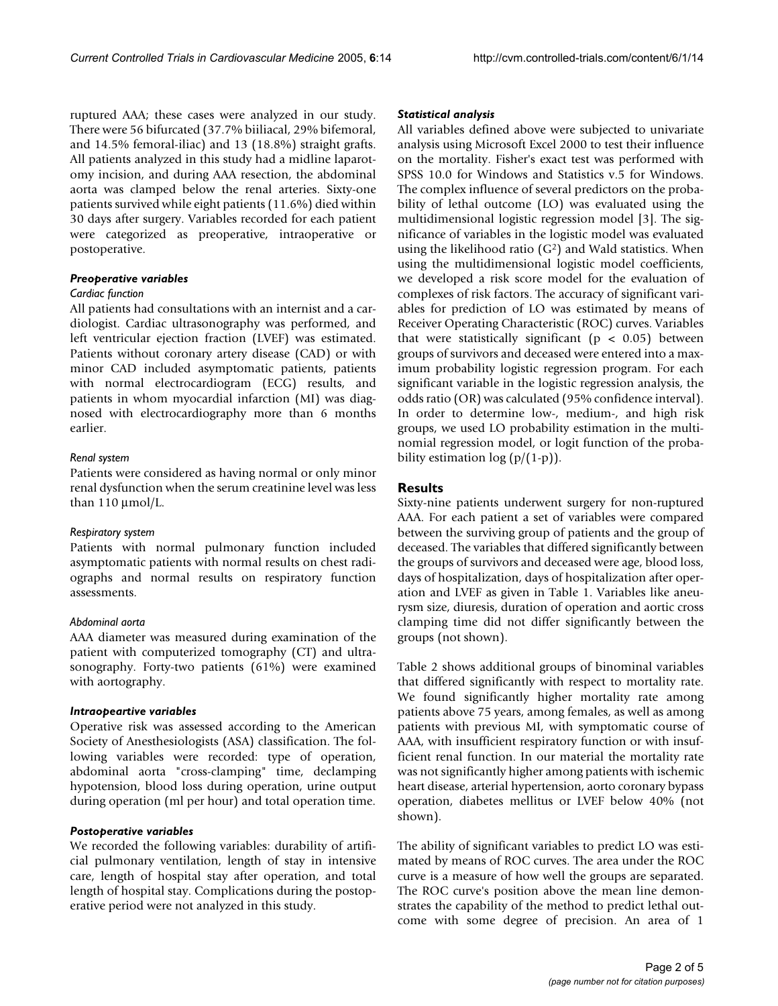ruptured AAA; these cases were analyzed in our study. There were 56 bifurcated (37.7% biiliacal, 29% bifemoral, and 14.5% femoral-iliac) and 13 (18.8%) straight grafts. All patients analyzed in this study had a midline laparotomy incision, and during AAA resection, the abdominal aorta was clamped below the renal arteries. Sixty-one patients survived while eight patients (11.6%) died within 30 days after surgery. Variables recorded for each patient were categorized as preoperative, intraoperative or postoperative.

## *Preoperative variables*

## *Cardiac function*

All patients had consultations with an internist and a cardiologist. Cardiac ultrasonography was performed, and left ventricular ejection fraction (LVEF) was estimated. Patients without coronary artery disease (CAD) or with minor CAD included asymptomatic patients, patients with normal electrocardiogram (ECG) results, and patients in whom myocardial infarction (MI) was diagnosed with electrocardiography more than 6 months earlier.

## *Renal system*

Patients were considered as having normal or only minor renal dysfunction when the serum creatinine level was less than  $110 \mu$ mol/L.

#### *Respiratory system*

Patients with normal pulmonary function included asymptomatic patients with normal results on chest radiographs and normal results on respiratory function assessments.

## *Abdominal aorta*

AAA diameter was measured during examination of the patient with computerized tomography (CT) and ultrasonography. Forty-two patients (61%) were examined with aortography.

#### *Intraopeartive variables*

Operative risk was assessed according to the American Society of Anesthesiologists (ASA) classification. The following variables were recorded: type of operation, abdominal aorta "cross-clamping" time, declamping hypotension, blood loss during operation, urine output during operation (ml per hour) and total operation time.

#### *Postoperative variables*

We recorded the following variables: durability of artificial pulmonary ventilation, length of stay in intensive care, length of hospital stay after operation, and total length of hospital stay. Complications during the postoperative period were not analyzed in this study.

#### *Statistical analysis*

All variables defined above were subjected to univariate analysis using Microsoft Excel 2000 to test their influence on the mortality. Fisher's exact test was performed with SPSS 10.0 for Windows and Statistics v.5 for Windows. The complex influence of several predictors on the probability of lethal outcome (LO) was evaluated using the multidimensional logistic regression model [3]. The significance of variables in the logistic model was evaluated using the likelihood ratio  $(G<sup>2</sup>)$  and Wald statistics. When using the multidimensional logistic model coefficients, we developed a risk score model for the evaluation of complexes of risk factors. The accuracy of significant variables for prediction of LO was estimated by means of Receiver Operating Characteristic (ROC) curves. Variables that were statistically significant ( $p < 0.05$ ) between groups of survivors and deceased were entered into a maximum probability logistic regression program. For each significant variable in the logistic regression analysis, the odds ratio (OR) was calculated (95% confidence interval). In order to determine low-, medium-, and high risk groups, we used LO probability estimation in the multinomial regression model, or logit function of the probability estimation  $log (p/(1-p))$ .

## **Results**

Sixty-nine patients underwent surgery for non-ruptured AAA. For each patient a set of variables were compared between the surviving group of patients and the group of deceased. The variables that differed significantly between the groups of survivors and deceased were age, blood loss, days of hospitalization, days of hospitalization after operation and LVEF as given in Table [1](#page-2-0). Variables like aneurysm size, diuresis, duration of operation and aortic cross clamping time did not differ significantly between the groups (not shown).

Table [2](#page-2-1) shows additional groups of binominal variables that differed significantly with respect to mortality rate. We found significantly higher mortality rate among patients above 75 years, among females, as well as among patients with previous MI, with symptomatic course of AAA, with insufficient respiratory function or with insufficient renal function. In our material the mortality rate was not significantly higher among patients with ischemic heart disease, arterial hypertension, aorto coronary bypass operation, diabetes mellitus or LVEF below 40% (not shown).

The ability of significant variables to predict LO was estimated by means of ROC curves. The area under the ROC curve is a measure of how well the groups are separated. The ROC curve's position above the mean line demonstrates the capability of the method to predict lethal outcome with some degree of precision. An area of 1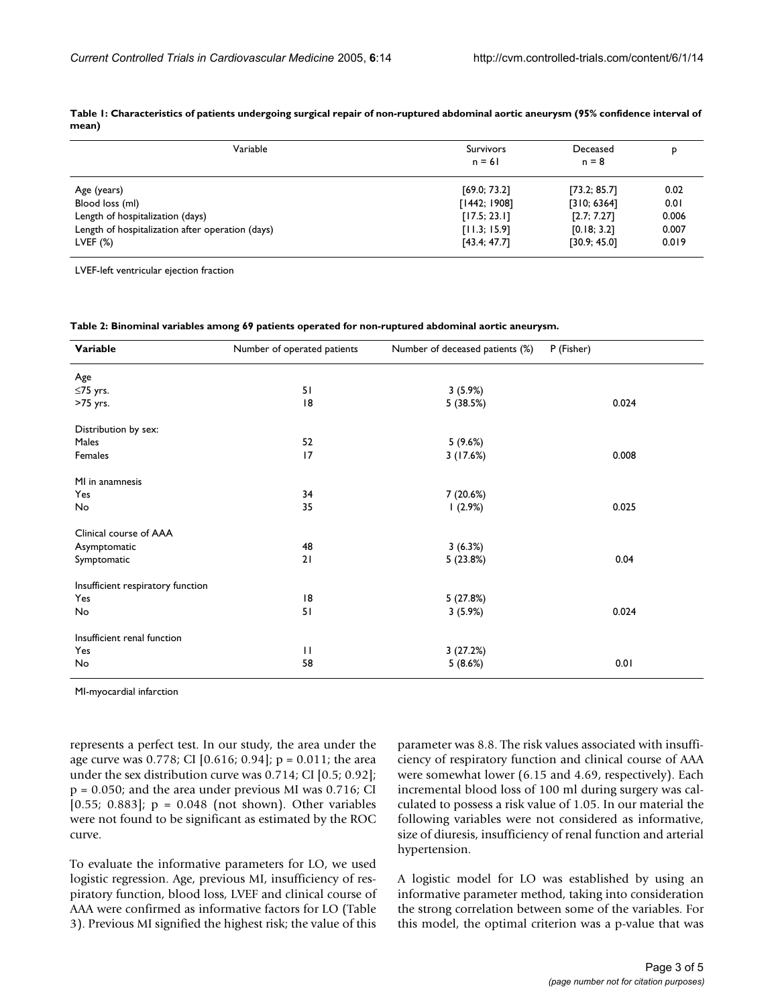| Variable                                         | <b>Survivors</b><br>$n = 61$ | Deceased<br>$n = 8$         | p            |
|--------------------------------------------------|------------------------------|-----------------------------|--------------|
| Age (years)<br>Blood loss (ml)                   | [69.0; 73.2]<br>[1442; 1908] | [73.2; 85.7]<br>[310; 6364] | 0.02<br>0.01 |
| Length of hospitalization (days)                 | [17.5; 23.1]                 | [2.7; 7.27]                 | 0.006        |
| Length of hospitalization after operation (days) | [11.3; 15.9]                 | [0.18; 3.2]                 | 0.007        |
| LVEF $(%)$                                       | [43.4; 47.7]                 | [30.9; 45.0]                | 0.019        |

<span id="page-2-0"></span>**Table 1: Characteristics of patients undergoing surgical repair of non-ruptured abdominal aortic aneurysm (95% confidence interval of mean)**

LVEF-left ventricular ejection fraction

<span id="page-2-1"></span>**Table 2: Binominal variables among 69 patients operated for non-ruptured abdominal aortic aneurysm.**

| Variable                          | Number of operated patients | Number of deceased patients (%) | P (Fisher) |
|-----------------------------------|-----------------------------|---------------------------------|------------|
| Age                               |                             |                                 |            |
| ≤75 yrs.                          | 51                          | 3(5.9%)                         |            |
| >75 yrs.                          | 18                          | 5 (38.5%)                       | 0.024      |
| Distribution by sex:              |                             |                                 |            |
| Males                             | 52                          | 5(9.6%)                         |            |
| Females                           | 17                          | 3(17.6%)                        | 0.008      |
| MI in anamnesis                   |                             |                                 |            |
| Yes                               | 34                          | 7 (20.6%)                       |            |
| No                                | 35                          | 1(2.9%)                         | 0.025      |
| Clinical course of AAA            |                             |                                 |            |
| Asymptomatic                      | 48                          | 3(6.3%)                         |            |
| Symptomatic                       | 21                          | 5 (23.8%)                       | 0.04       |
| Insufficient respiratory function |                             |                                 |            |
| Yes                               | 8                           | 5 (27.8%)                       |            |
| No                                | 51                          | 3(5.9%)                         | 0.024      |
| Insufficient renal function       |                             |                                 |            |
| Yes                               | $\mathbf{H}$                | 3(27.2%)                        |            |
| No                                | 58                          | 5(8.6%)                         | 0.01       |

MI-myocardial infarction

represents a perfect test. In our study, the area under the age curve was 0.778; CI [0.616; 0.94]; p = 0.011; the area under the sex distribution curve was 0.714; CI [0.5; 0.92]; p = 0.050; and the area under previous MI was 0.716; CI [0.55; 0.883];  $p = 0.048$  (not shown). Other variables were not found to be significant as estimated by the ROC curve.

To evaluate the informative parameters for LO, we used logistic regression. Age, previous MI, insufficiency of respiratory function, blood loss, LVEF and clinical course of AAA were confirmed as informative factors for LO (Table [3\)](#page-3-0). Previous MI signified the highest risk; the value of this parameter was 8.8. The risk values associated with insufficiency of respiratory function and clinical course of AAA were somewhat lower (6.15 and 4.69, respectively). Each incremental blood loss of 100 ml during surgery was calculated to possess a risk value of 1.05. In our material the following variables were not considered as informative, size of diuresis, insufficiency of renal function and arterial hypertension.

A logistic model for LO was established by using an informative parameter method, taking into consideration the strong correlation between some of the variables. For this model, the optimal criterion was a p-value that was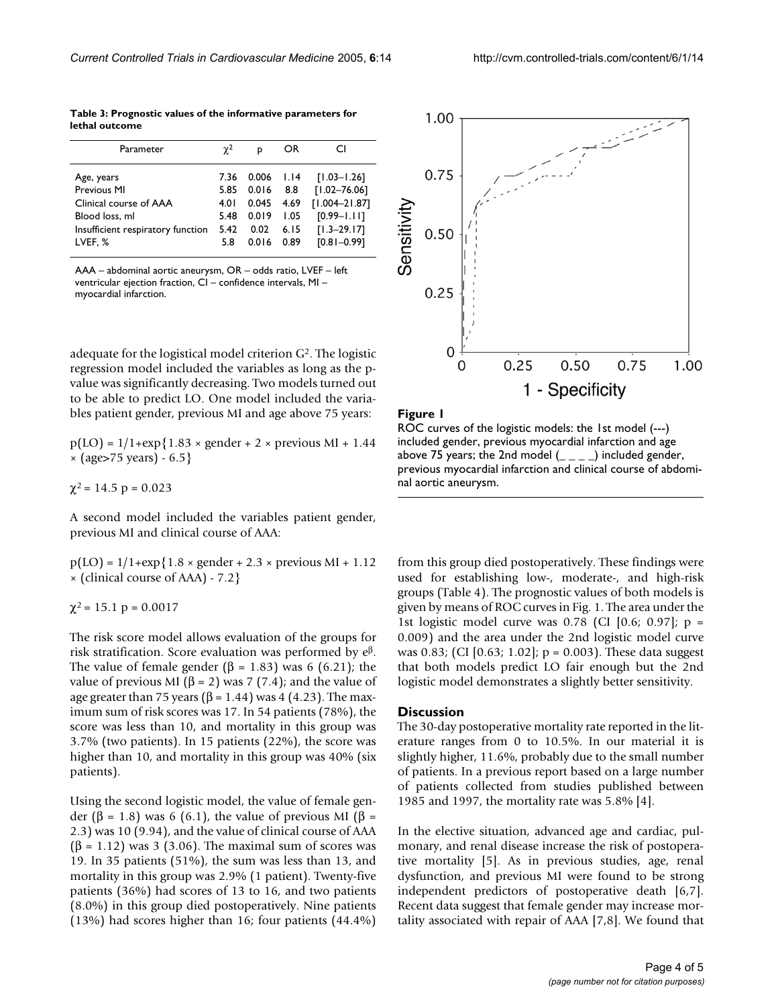<span id="page-3-0"></span>**Table 3: Prognostic values of the informative parameters for lethal outcome**

| Parameter                         | $\gamma^2$ | p     | OR   | CI                |
|-----------------------------------|------------|-------|------|-------------------|
| Age, years                        | 7.36       | 0.006 | 1.14 | $[1.03 - 1.26]$   |
| Previous MI                       | 5.85       | 0.016 | 8.8  | $[1.02 - 76.06]$  |
| Clinical course of AAA            | 4.0 I      | 0.045 | 4.69 | $[1.004 - 21.87]$ |
| Blood loss, ml                    | 5.48       | 0.019 | 1.05 | $[0.99 - 1.11]$   |
| Insufficient respiratory function | 5.42       | 0.02  | 6.15 | $[1.3 - 29.17]$   |
| LVEF, %                           | 5.8        | 0.016 | 0.89 | $[0.81 - 0.99]$   |

AAA – abdominal aortic aneurysm, OR – odds ratio, LVEF – left ventricular ejection fraction, CI – confidence intervals, MI – myocardial infarction.

adequate for the logistical model criterion G2. The logistic regression model included the variables as long as the pvalue was significantly decreasing. Two models turned out to be able to predict LO. One model included the variables patient gender, previous MI and age above 75 years:

 $p(LO) = 1/1+\exp\{1.83 \times \text{gender} + 2 \times \text{previous} M1 + 1.44\}$ × (age>75 years) - 6.5}

 $\chi^2$  = 14.5 p = 0.023

A second model included the variables patient gender, previous MI and clinical course of AAA:

 $p(LO) = 1/1 + exp{1.8 \times gender + 2.3 \times previous MI + 1.12}$ × (clinical course of AAA) - 7.2}

 $\chi^2$  = 15.1 p = 0.0017

The risk score model allows evaluation of the groups for risk stratification. Score evaluation was performed by e<sup>β</sup>. The value of female gender ( $\beta$  = 1.83) was 6 (6.21); the value of previous MI (β = 2) was 7 (7.4); and the value of age greater than 75 years ( $\beta$  = 1.44) was 4 (4.23). The maximum sum of risk scores was 17. In 54 patients (78%), the score was less than 10, and mortality in this group was 3.7% (two patients). In 15 patients (22%), the score was higher than 10, and mortality in this group was 40% (six patients).

Using the second logistic model, the value of female gender (β = 1.8) was 6 (6.1), the value of previous MI (β = 2.3) was 10 (9.94), and the value of clinical course of AAA  $(\beta = 1.12)$  was 3 (3.06). The maximal sum of scores was 19. In 35 patients (51%), the sum was less than 13, and mortality in this group was 2.9% (1 patient). Twenty-five patients (36%) had scores of 13 to 16, and two patients (8.0%) in this group died postoperatively. Nine patients (13%) had scores higher than 16; four patients (44.4%)



#### Figure I



from this group died postoperatively. These findings were used for establishing low-, moderate-, and high-risk groups (Table 4). The prognostic values of both models is given by means of ROC curves in Fig. 1. The area under the 1st logistic model curve was 0.78 (CI [0.6; 0.97]; p = 0.009) and the area under the 2nd logistic model curve was 0.83; (CI [0.63; 1.02]; p = 0.003). These data suggest that both models predict LO fair enough but the 2nd logistic model demonstrates a slightly better sensitivity.

#### **Discussion**

The 30-day postoperative mortality rate reported in the literature ranges from 0 to 10.5%. In our material it is slightly higher, 11.6%, probably due to the small number of patients. In a previous report based on a large number of patients collected from studies published between 1985 and 1997, the mortality rate was 5.8% [4].

In the elective situation, advanced age and cardiac, pulmonary, and renal disease increase the risk of postoperative mortality [5]. As in previous studies, age, renal dysfunction, and previous MI were found to be strong independent predictors of postoperative death [6,7]. Recent data suggest that female gender may increase mortality associated with repair of AAA [7,8]. We found that